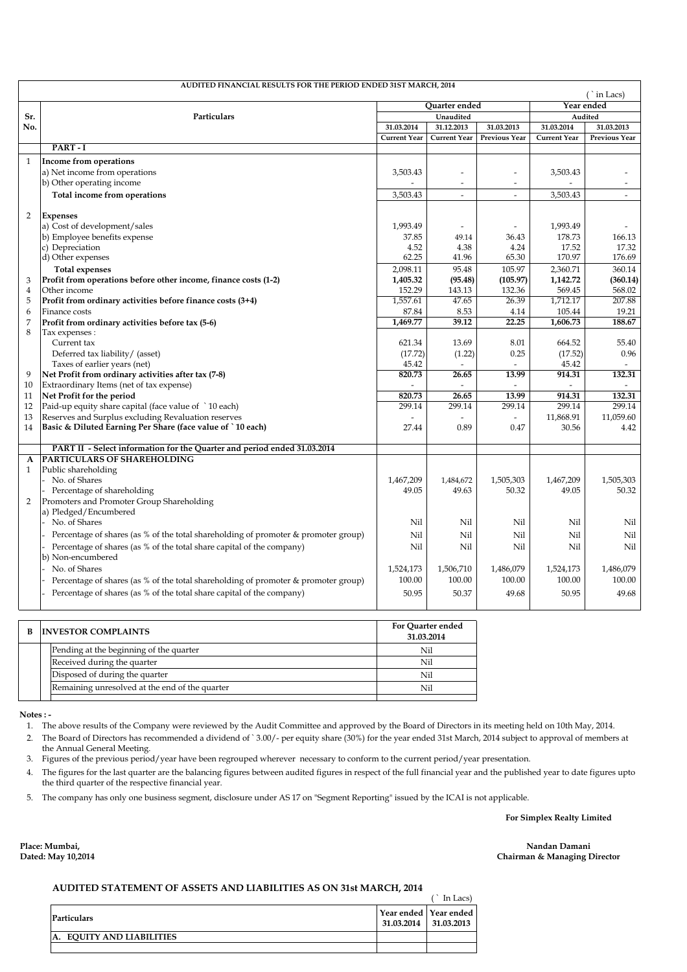| AUDITED FINANCIAL RESULTS FOR THE PERIOD ENDED 31ST MARCH, 2014<br>$($ in Lacs) |                                                                                            |                  |                          |                          |                     |                          |
|---------------------------------------------------------------------------------|--------------------------------------------------------------------------------------------|------------------|--------------------------|--------------------------|---------------------|--------------------------|
|                                                                                 |                                                                                            |                  | <b>Ouarter</b> ended     |                          |                     | Year ended               |
| Sr.                                                                             | Particulars                                                                                |                  | Unaudited                |                          | Audited             |                          |
| No.                                                                             |                                                                                            | 31.03.2014       | 31.12.2013               | 31.03.2013               | 31.03.2014          | 31.03.2013               |
|                                                                                 |                                                                                            | Current Year     | Current Year             | <b>Previous Year</b>     | <b>Current Year</b> | <b>Previous Year</b>     |
|                                                                                 | PART-I                                                                                     |                  |                          |                          |                     |                          |
| $\mathbf{1}$                                                                    | Income from operations                                                                     |                  |                          |                          |                     |                          |
|                                                                                 | a) Net income from operations                                                              | 3,503.43         | $\overline{a}$           | $\overline{a}$           | 3,503.43            |                          |
|                                                                                 | b) Other operating income                                                                  |                  | $\overline{\phantom{a}}$ | $\overline{\phantom{a}}$ |                     | $\overline{\phantom{a}}$ |
|                                                                                 | Total income from operations                                                               | 3,503.43         | $\overline{a}$           | $\overline{a}$           | 3,503.43            | $\overline{a}$           |
|                                                                                 |                                                                                            |                  |                          |                          |                     |                          |
| 2                                                                               | <b>Expenses</b>                                                                            |                  |                          |                          |                     |                          |
|                                                                                 | a) Cost of development/sales                                                               | 1,993.49         | $\overline{\phantom{a}}$ |                          | 1,993.49            |                          |
|                                                                                 | b) Employee benefits expense                                                               | 37.85            | 49.14                    | 36.43                    | 178.73              | 166.13                   |
|                                                                                 | c) Depreciation                                                                            | 4.52             | 4.38                     | 4.24                     | 17.52               | 17.32                    |
|                                                                                 | d) Other expenses                                                                          | 62.25            | 41.96                    | 65.30                    | 170.97              | 176.69                   |
|                                                                                 | <b>Total expenses</b>                                                                      | 2.098.11         | 95.48                    | 105.97                   | 2,360.71            | 360.14                   |
| 3                                                                               | Profit from operations before other income, finance costs (1-2)                            | 1,405.32         | (95.48)                  | (105.97)                 | 1,142.72            | (360.14)                 |
| $\overline{4}$                                                                  | Other income                                                                               | 152.29           | 143.13                   | 132.36                   | 569.45              | 568.02                   |
| 5                                                                               | Profit from ordinary activities before finance costs (3+4)                                 | 1,557.61         | 47.65                    | 26.39                    | 1,712.17            | 207.88                   |
| 6                                                                               | Finance costs                                                                              | 87.84            | 8.53                     | 4.14                     | 105.44              | 19.21                    |
| 7                                                                               | Profit from ordinary activities before tax (5-6)                                           | 1,469.77         | 39.12                    | 22.25                    | 1,606.73            | 188.67                   |
| 8                                                                               | Tax expenses :                                                                             | 621.34           |                          |                          | 664.52              |                          |
|                                                                                 | Current tax<br>Deferred tax liability/ (asset)                                             |                  | 13.69                    | 8.01<br>0.25             |                     | 55.40<br>0.96            |
|                                                                                 | Taxes of earlier years (net)                                                               | (17.72)<br>45.42 | (1.22)<br>$\overline{a}$ |                          | (17.52)<br>45.42    |                          |
| 9                                                                               | Net Profit from ordinary activities after tax (7-8)                                        | 820.73           | 26.65                    | 13.99                    | 914.31              | 132.31                   |
| 10                                                                              | Extraordinary Items (net of tax expense)                                                   |                  |                          |                          |                     |                          |
| 11                                                                              | Net Profit for the period                                                                  | 820.73           | 26.65                    | 13.99                    | 914.31              | 132.31                   |
| 12                                                                              | Paid-up equity share capital (face value of `10 each)                                      | 299.14           | 299.14                   | 299.14                   | 299.14              | 299.14                   |
| 13                                                                              | Reserves and Surplus excluding Revaluation reserves                                        |                  | $\overline{\phantom{a}}$ |                          | 11,868.91           | 11,059.60                |
| 14                                                                              | Basic & Diluted Earning Per Share (face value of `10 each)                                 | 27.44            | 0.89                     | 0.47                     | 30.56               | 4.42                     |
|                                                                                 |                                                                                            |                  |                          |                          |                     |                          |
|                                                                                 | PART II - Select information for the Quarter and period ended 31.03.2014                   |                  |                          |                          |                     |                          |
| A                                                                               | <b>PARTICULARS OF SHAREHOLDING</b>                                                         |                  |                          |                          |                     |                          |
| $\mathbf{1}$                                                                    | Public shareholding                                                                        |                  |                          |                          |                     |                          |
|                                                                                 | No. of Shares                                                                              | 1,467,209        | 1,484,672                | 1,505,303                | 1,467,209           | 1,505,303                |
|                                                                                 | Percentage of shareholding                                                                 | 49.05            | 49.63                    | 50.32                    | 49.05               | 50.32                    |
| 2                                                                               | Promoters and Promoter Group Shareholding<br>a) Pledged/Encumbered                         |                  |                          |                          |                     |                          |
|                                                                                 | No. of Shares                                                                              | Nil              | Nil                      | Nil                      | Nil                 | Nil                      |
|                                                                                 |                                                                                            |                  |                          |                          |                     |                          |
|                                                                                 | Percentage of shares (as % of the total shareholding of promoter & promoter group)         | Nil              | Nil                      | Nil                      | Nil                 | Nil                      |
|                                                                                 | Percentage of shares (as % of the total share capital of the company)<br>b) Non-encumbered | Nil              | Nil                      | Nil                      | Nil                 | Nil                      |
|                                                                                 | No. of Shares                                                                              | 1,524,173        | 1,506,710                | 1,486,079                | 1,524,173           | 1,486,079                |
|                                                                                 |                                                                                            | 100.00           | 100.00                   | 100.00                   | 100.00              | 100.00                   |
|                                                                                 | Percentage of shares (as % of the total shareholding of promoter & promoter group)         |                  |                          |                          |                     |                          |
|                                                                                 | Percentage of shares (as % of the total share capital of the company)                      | 50.95            | 50.37                    | 49.68                    | 50.95               | 49.68                    |
|                                                                                 |                                                                                            |                  |                          |                          |                     |                          |
|                                                                                 |                                                                                            |                  | <b>For Ouarter ended</b> |                          |                     |                          |

| B. | <b>INVESTOR COMPLAINTS</b>                     | <b>For Quarter ended</b><br>31.03.2014 |
|----|------------------------------------------------|----------------------------------------|
|    | Pending at the beginning of the quarter        | Nil                                    |
|    | Received during the quarter                    | Nil                                    |
|    | Disposed of during the quarter                 | Nil                                    |
|    | Remaining unresolved at the end of the quarter | Nil                                    |
|    |                                                |                                        |

 **Notes : -**

- 1. The above results of the Company were reviewed by the Audit Committee and approved by the Board of Directors in its meeting held on 10th May, 2014.
- 2. The Board of Directors has recommended a dividend of ` 3.00/- per equity share (30%) for the year ended 31st March, 2014 subject to approval of members at the Annual General Meeting.
- 3. Figures of the previous period/year have been regrouped wherever necessary to conform to the current period/year presentation.
- 4. The figures for the last quarter are the balancing figures between audited figures in respect of the full financial year and the published year to date figures upto the third quarter of the respective financial year.
- 5. The company has only one business segment, disclosure under AS 17 on "Segment Reporting" issued by the ICAI is not applicable.

**For Simplex Realty Limited**

**Place: Mumbai, Dated: May 10,2014**

**Nandan Damani Chairman & Managing Director**

## **AUDITED STATEMENT OF ASSETS AND LIABILITIES AS ON 31st MARCH, 2014**

|                                     |                                                      | `In Lacs) |
|-------------------------------------|------------------------------------------------------|-----------|
| Particulars                         | Year ended Year ended<br>$31.03.2014$   $31.03.2013$ |           |
| <b>EOUITY AND LIABILITIES</b><br>A. |                                                      |           |
|                                     |                                                      |           |